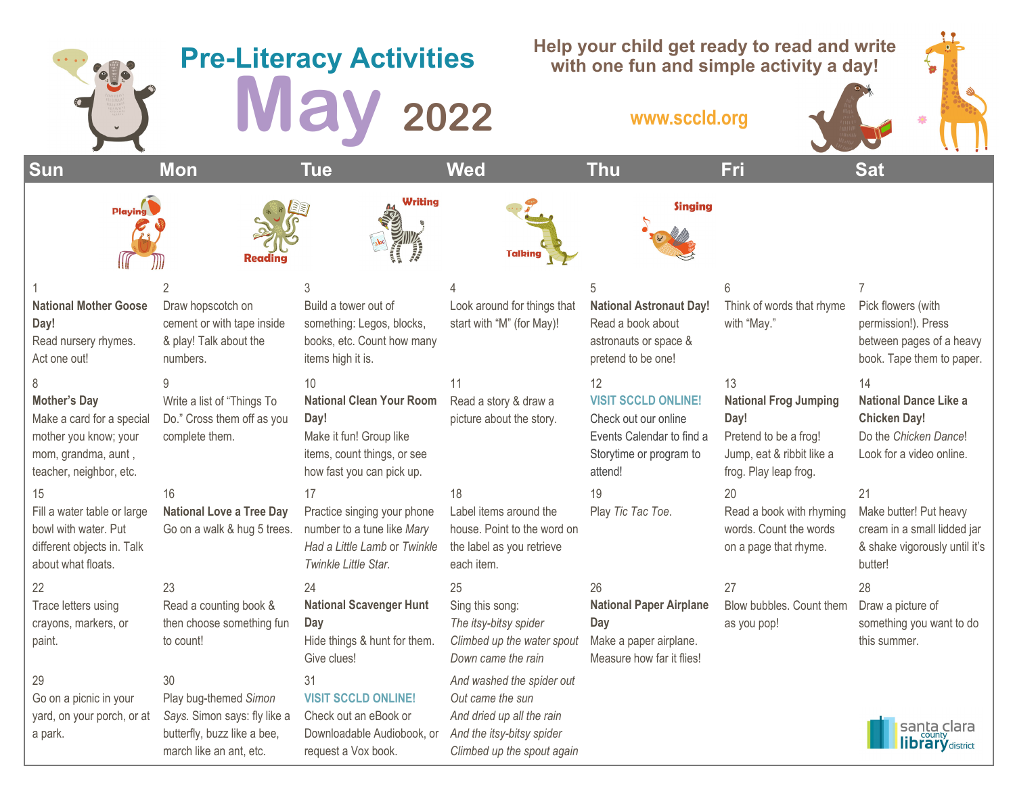|                                                                                                                             | <b>Pre-Literacy Activities</b><br>2022                                                                                |                                                                                                                                      |                                                                                                                                       | Help your child get ready to read and write<br>with one fun and simple activity a day!<br>www.sccld.org                     |                                                                                                                           |                                                                                                                |
|-----------------------------------------------------------------------------------------------------------------------------|-----------------------------------------------------------------------------------------------------------------------|--------------------------------------------------------------------------------------------------------------------------------------|---------------------------------------------------------------------------------------------------------------------------------------|-----------------------------------------------------------------------------------------------------------------------------|---------------------------------------------------------------------------------------------------------------------------|----------------------------------------------------------------------------------------------------------------|
| Sun                                                                                                                         | <b>Mon</b>                                                                                                            | <b>Tue</b>                                                                                                                           | <b>Wed</b>                                                                                                                            | <b>Thu</b>                                                                                                                  | <b>Fri</b>                                                                                                                | <b>Sat</b>                                                                                                     |
| Playing                                                                                                                     |                                                                                                                       | Writing                                                                                                                              | <b>Talking</b>                                                                                                                        | <b>Singing</b>                                                                                                              |                                                                                                                           |                                                                                                                |
| <b>National Mother Goose</b><br>Day!<br>Read nursery rhymes.<br>Act one out!                                                | Draw hopscotch on<br>cement or with tape inside<br>& play! Talk about the<br>numbers.                                 | Build a tower out of<br>something: Legos, blocks,<br>books, etc. Count how many<br>items high it is.                                 | Look around for things that<br>start with "M" (for May)!                                                                              | <b>National Astronaut Day!</b><br>Read a book about<br>astronauts or space &<br>pretend to be one!                          | Think of words that rhyme<br>with "May."                                                                                  | Pick flowers (with<br>permission!). Press<br>between pages of a heavy<br>book. Tape them to paper.             |
| <b>Mother's Day</b><br>Make a card for a special<br>mother you know; your<br>mom, grandma, aunt,<br>teacher, neighbor, etc. | Write a list of "Things To<br>Do." Cross them off as you<br>complete them.                                            | 10<br><b>National Clean Your Room</b><br>Day!<br>Make it fun! Group like<br>items, count things, or see<br>how fast you can pick up. | 11<br>Read a story & draw a<br>picture about the story.                                                                               | 12<br><b>VISIT SCCLD ONLINE!</b><br>Check out our online<br>Events Calendar to find a<br>Storytime or program to<br>attend! | 13<br><b>National Frog Jumping</b><br>Day!<br>Pretend to be a frog!<br>Jump, eat & ribbit like a<br>frog. Play leap frog. | 14<br><b>National Dance Like a</b><br><b>Chicken Day!</b><br>Do the Chicken Dance!<br>Look for a video online. |
| 15<br>Fill a water table or large<br>bowl with water. Put<br>different objects in. Talk<br>about what floats.               | 16<br><b>National Love a Tree Day</b><br>Go on a walk & hug 5 trees.                                                  | 17<br>Practice singing your phone<br>number to a tune like Mary<br>Had a Little Lamb or Twinkle<br>Twinkle Little Star.              | 18<br>Label items around the<br>house. Point to the word on<br>the label as you retrieve<br>each item.                                | 19<br>Play Tic Tac Toe.                                                                                                     | 20<br>Read a book with rhyming<br>words. Count the words<br>on a page that rhyme.                                         | 21<br>Make butter! Put heavy<br>cream in a small lidded jar<br>& shake vigorously until it's<br>butter!        |
| 22<br>Trace letters using<br>crayons, markers, or<br>paint.                                                                 | 23<br>Read a counting book &<br>then choose something fun<br>to count!                                                | 24<br><b>National Scavenger Hunt</b><br>Day<br>Hide things & hunt for them.<br>Give clues!                                           | 25<br>Sing this song:<br>The itsy-bitsy spider<br>Climbed up the water spout<br>Down came the rain                                    | 26<br><b>National Paper Airplane</b><br>Day<br>Make a paper airplane.<br>Measure how far it flies!                          | 27<br>Blow bubbles. Count them<br>as you pop!                                                                             | 28<br>Draw a picture of<br>something you want to do<br>this summer.                                            |
| 29<br>Go on a picnic in your<br>yard, on your porch, or at<br>a park.                                                       | 30<br>Play bug-themed Simon<br>Says. Simon says: fly like a<br>butterfly, buzz like a bee,<br>march like an ant, etc. | 31<br><b>VISIT SCCLD ONLINE!</b><br>Check out an eBook or<br>Downloadable Audiobook, or<br>request a Vox book.                       | And washed the spider out<br>Out came the sun<br>And dried up all the rain<br>And the itsy-bitsy spider<br>Climbed up the spout again |                                                                                                                             |                                                                                                                           | santa clara<br><b>library</b> district                                                                         |